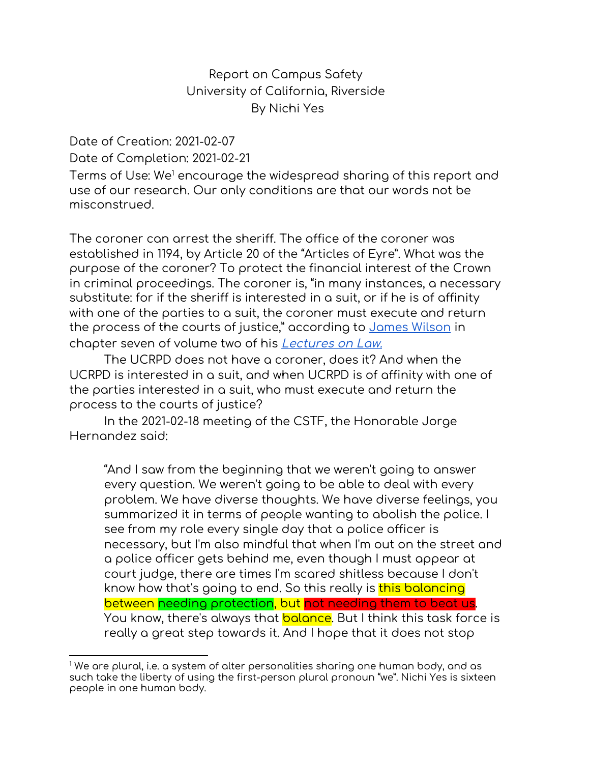#### Report on Campus Safety University of California, Riverside By Nichi Yes

Date of Creation: 2021-02-07 Date of Completion: 2021-02-21

Terms of Use: We <sup>1</sup> encourage the widespread sharing of this report and use of our research. Our only conditions are that our words not be misconstrued.

The coroner can arrest the sheriff. The office of the coroner was established in 1194, by Article 20 of the "Articles of Eyre". What was the purpose of the coroner? To protect the financial interest of the Crown in criminal proceedings. The coroner is, "in many instances, a necessary substitute: for if the sheriff is interested in a suit, or if he is of affinity with one of the parties to a suit, the coroner must execute and return the process of the courts of justice," according to [James](https://www.fjc.gov/sites/default/files/cases-that-shaped-the-federal-courts/pdf/Chisholm.pdf) Wilson in chapter seven of volume two of his *[Lectures](https://oll.libertyfund.org/page/the-history-of-james-wilson-s-law-lectures) on Law.* 

The UCRPD does not have a coroner, does it? And when the UCRPD is interested in a suit, and when UCRPD is of affinity with one of the parties interested in a suit, who must execute and return the process to the courts of justice?

In the 2021-02-18 meeting of the CSTF, the Honorable Jorge Hernandez said:

"And I saw from the beginning that we weren't going to answer every question. We weren't going to be able to deal with every problem. We have diverse thoughts. We have diverse feelings, you summarized it in terms of people wanting to abolish the police. I see from my role every single day that a police officer is necessary, but I'm also mindful that when I'm out on the street and a police officer gets behind me, even though I must appear at court judge, there are times I'm scared shitless because I don't know how that's going to end. So this really is this balancing between needing protection, but not needing them to beat us. You know, there's always that <mark>balance</mark>. But I think this task force is really a great step towards it. And I hope that it does not stop

 $1$  We are plural, i.e. a system of alter personalities sharing one human body, and as such take the liberty of using the first-person plural pronoun "we". Nichi Yes is sixteen people in one human body.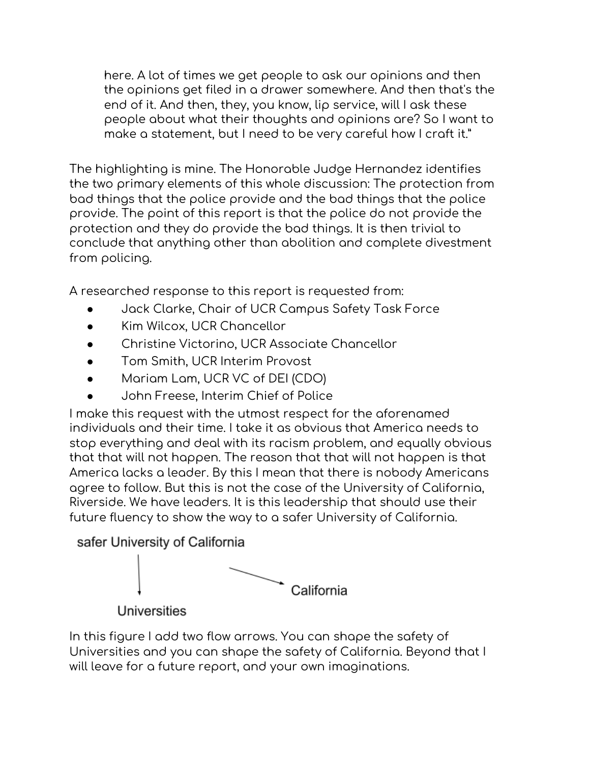here. A lot of times we get people to ask our opinions and then the opinions get filed in a drawer somewhere. And then that's the end of it. And then, they, you know, lip service, will I ask these people about what their thoughts and opinions are? So I want to make a statement, but I need to be very careful how I craft it."

The highlighting is mine. The Honorable Judge Hernandez identifies the two primary elements of this whole discussion: The protection from bad things that the police provide and the bad things that the police provide. The point of this report is that the police do not provide the protection and they do provide the bad things. It is then trivial to conclude that anything other than abolition and complete divestment from policing.

A researched response to this report is requested from:

- Jack Clarke, Chair of UCR Campus Safety Task Force
- Kim Wilcox, UCR Chancellor
- Christine Victorino, UCR Associate Chancellor
- Tom Smith, UCR Interim Provost
- Mariam Lam, UCR VC of DEI (CDO)
- John Freese, Interim Chief of Police

I make this request with the utmost respect for the aforenamed individuals and their time. I take it as obvious that America needs to stop everything and deal with its racism problem, and equally obvious that that will not happen. The reason that that will not happen is that America lacks a leader. By this I mean that there is nobody Americans agree to follow. But this is not the case of the University of California, Riverside. We have leaders. It is this leadership that should use their future fluency to show the way to a safer University of California.



Universities

In this figure I add two flow arrows. You can shape the safety of Universities and you can shape the safety of California. Beyond that I will leave for a future report, and your own imaginations.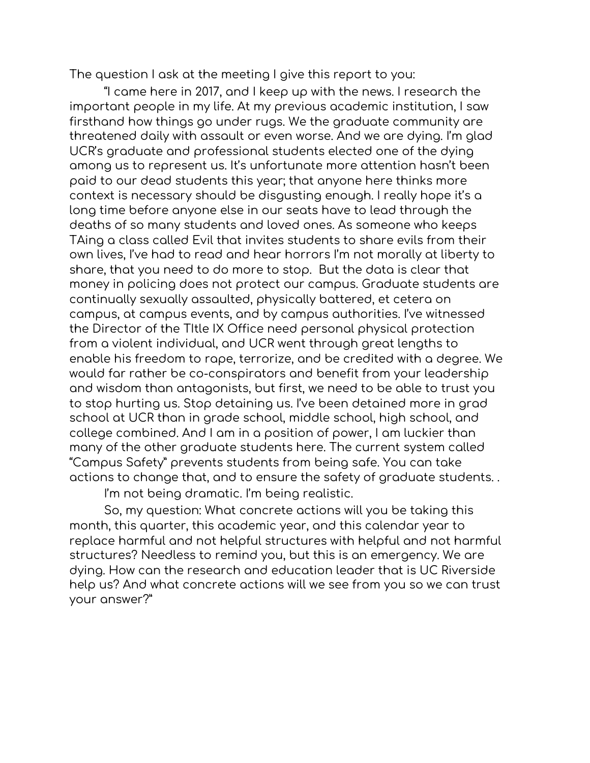The question I ask at the meeting I give this report to you:

"I came here in 2017, and I keep up with the news. I research the important people in my life. At my previous academic institution, I saw firsthand how things go under rugs. We the graduate community are threatened daily with assault or even worse. And we are dying. I'm glad UCR's graduate and professional students elected one of the dying among us to represent us. It's unfortunate more attention hasn't been paid to our dead students this year; that anyone here thinks more context is necessary should be disgusting enough. I really hope it's a long time before anyone else in our seats have to lead through the deaths of so many students and loved ones. As someone who keeps TAing a class called Evil that invites students to share evils from their own lives, I've had to read and hear horrors I'm not morally at liberty to share, that you need to do more to stop. But the data is clear that money in policing does not protect our campus. Graduate students are continually sexually assaulted, physically battered, et cetera on campus, at campus events, and by campus authorities. I've witnessed the Director of the TItle IX Office need personal physical protection from a violent individual, and UCR went through great lengths to enable his freedom to rape, terrorize, and be credited with a degree. We would far rather be co-conspirators and benefit from your leadership and wisdom than antagonists, but first, we need to be able to trust you to stop hurting us. Stop detaining us. I've been detained more in grad school at UCR than in grade school, middle school, high school, and college combined. And I am in a position of power, I am luckier than many of the other graduate students here. The current system called "Campus Safety" prevents students from being safe. You can take actions to change that, and to ensure the safety of graduate students. .

I'm not being dramatic. I'm being realistic.

So, my question: What concrete actions will you be taking this month, this quarter, this academic year, and this calendar year to replace harmful and not helpful structures with helpful and not harmful structures? Needless to remind you, but this is an emergency. We are dying. How can the research and education leader that is UC Riverside help us? And what concrete actions will we see from you so we can trust your answer?"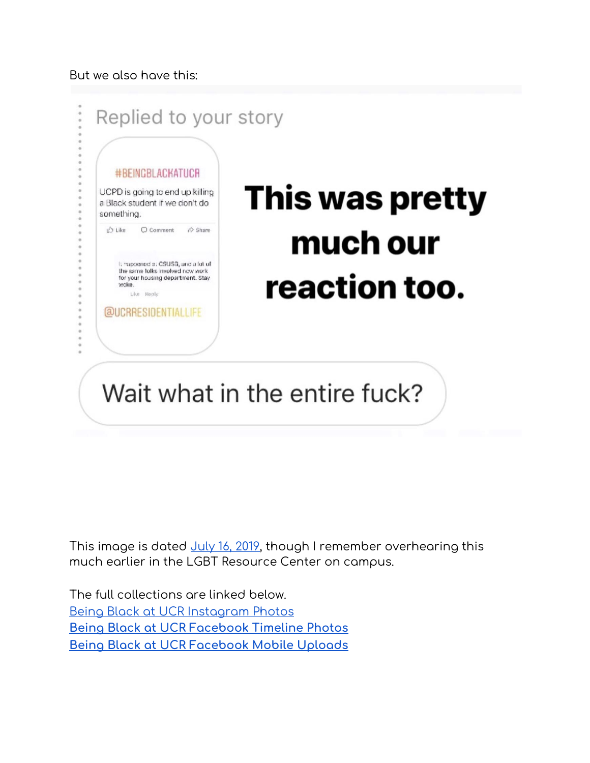#### But we also have this:



This image is dated <u>July 16, 2019</u>, though I remember overhearing this much earlier in the LGBT Resource Center on campus.

The full collections are linked below. Being Black at UCR [Instagram](https://www.facebook.com/media/set/?vanity=beingblackatucr&set=a.631447437358273) Photos **Being Black at UCR [Facebook](https://www.facebook.com/media/set/?vanity=beingblackatucr&set=a.631411654028518) Timeline Photos Being Black at UCR [Facebook](https://www.facebook.com/media/set/?vanity=beingblackatucr&set=a.637632163406467) Mobile Uploads**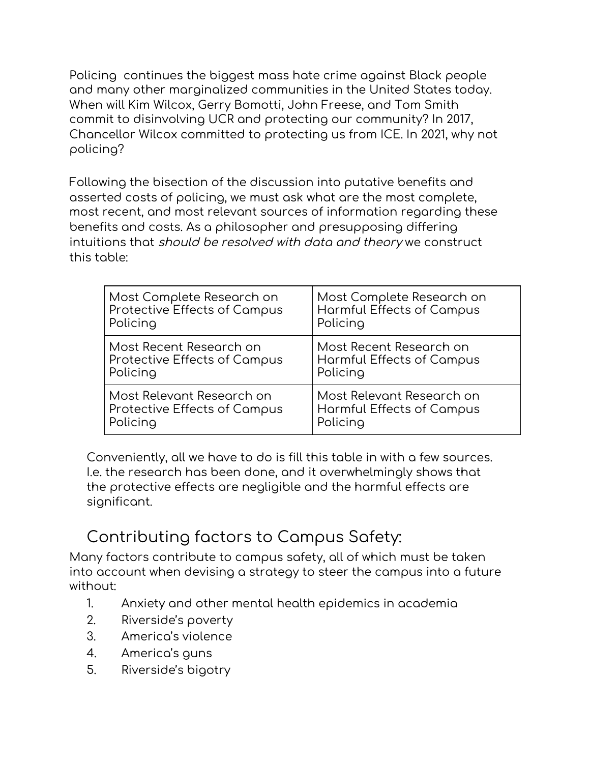Policing continues the biggest mass hate crime against Black people and many other marginalized communities in the United States today. When will Kim Wilcox, Gerry Bomotti, John Freese, and Tom Smith commit to disinvolving UCR and protecting our community? In 2017, Chancellor Wilcox committed to protecting us from ICE. In 2021, why not policing?

Following the bisection of the discussion into putative benefits and asserted costs of policing, we must ask what are the most complete, most recent, and most relevant sources of information regarding these benefits and costs. As a philosopher and presupposing differing intuitions that should be resolved with data and theory we construct this table:

| Most Complete Research on           | Most Complete Research on        |
|-------------------------------------|----------------------------------|
| Protective Effects of Campus        | <b>Harmful Effects of Campus</b> |
| Policing                            | Policing                         |
| Most Recent Research on             | Most Recent Research on          |
| <b>Protective Effects of Campus</b> | Harmful Effects of Campus        |
| Policing                            | Policing                         |
| Most Relevant Research on           | Most Relevant Research on        |
| <b>Protective Effects of Campus</b> | <b>Harmful Effects of Campus</b> |
| Policing                            | Policing                         |

Conveniently, all we have to do is fill this table in with a few sources. I.e. the research has been done, and it overwhelmingly shows that the protective effects are negligible and the harmful effects are significant.

### Contributing factors to Campus Safety:

Many factors contribute to campus safety, all of which must be taken into account when devising a strategy to steer the campus into a future without:

- 1. Anxiety and other mental health epidemics in academia
- 2. Riverside's poverty
- 3. America's violence
- 4. America's guns
- 5. Riverside's bigotry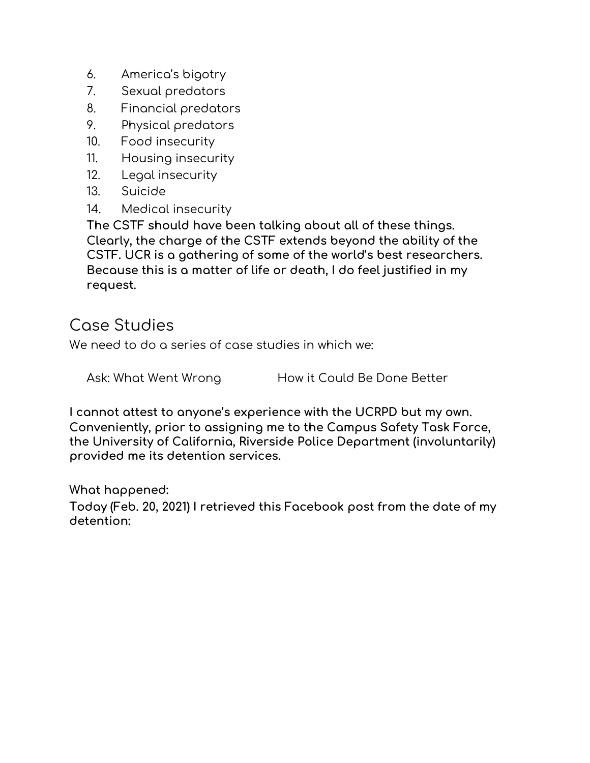- 6. America's bigotry
- 7. Sexual predators
- 8. Financial predators
- 9. Physical predators
- 10. Food insecurity
- 11. Housing insecurity
- 12. Legal insecurity
- 13. Suicide
- 14. Medical insecurity

**The CSTF should have been talking about all of these things. Clearly, the charge of the CSTF extends beyond the ability of the CSTF. UCR is a gathering of some of the world's best researchers. Because this is a matter of life or death, I do feel justified in my request.**

#### Case Studies

We need to do a series of case studies in which we:

Ask: What Went Wrong How it Could Be Done Better

**I cannot attest to anyone's experience with the UCRPD but my own. Conveniently, prior to assigning me to the Campus Safety Task Force, the University of California, Riverside Police Department (involuntarily) provided me its detention services.**

**What happened:**

**Today (Feb. 20, 2021) I retrieved this Facebook post from the date of my detention:**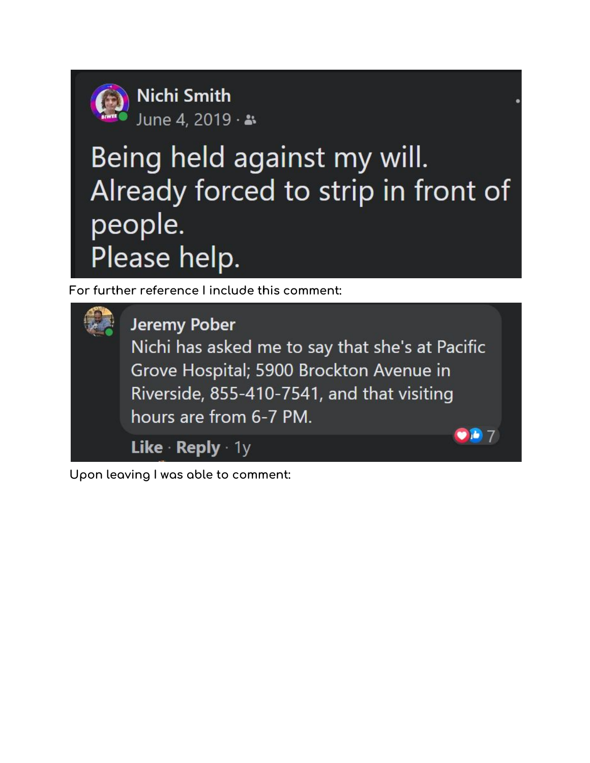

**Nichi Smith** June 4, 2019 · \*

# Being held against my will. Already forced to strip in front of people. Please help.

**For further reference I include this comment:**



**Upon leaving I was able to comment:**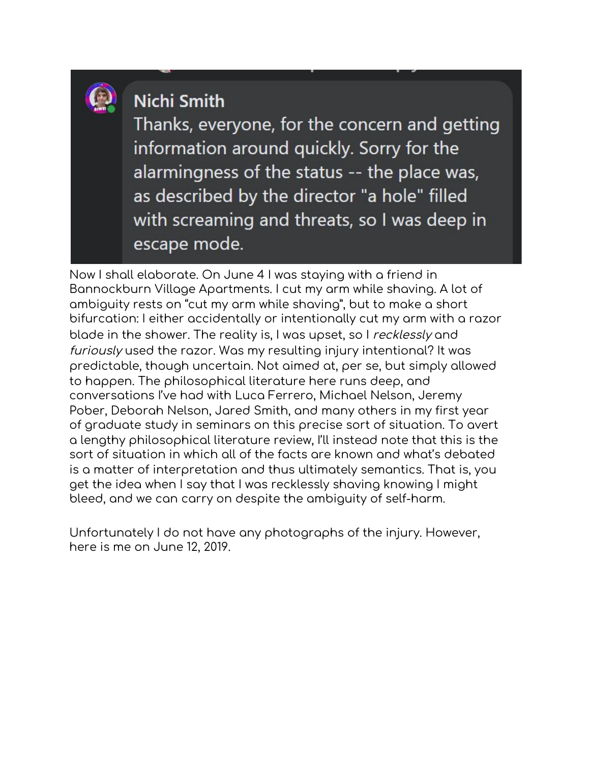

# Nichi Smith

Thanks, everyone, for the concern and getting information around quickly. Sorry for the alarmingness of the status -- the place was, as described by the director "a hole" filled with screaming and threats, so I was deep in escape mode.

Now I shall elaborate. On June 4 I was staying with a friend in Bannockburn Village Apartments. I cut my arm while shaving. A lot of ambiguity rests on "cut my arm while shaving", but to make a short bifurcation: I either accidentally or intentionally cut my arm with a razor blade in the shower. The reality is, I was upset, so I recklessly and furiously used the razor. Was my resulting injury intentional? It was predictable, though uncertain. Not aimed at, per se, but simply allowed to happen. The philosophical literature here runs deep, and conversations I've had with Luca Ferrero, Michael Nelson, Jeremy Pober, Deborah Nelson, Jared Smith, and many others in my first year of graduate study in seminars on this precise sort of situation. To avert a lengthy philosophical literature review, I'll instead note that this is the sort of situation in which all of the facts are known and what's debated is a matter of interpretation and thus ultimately semantics. That is, you get the idea when I say that I was recklessly shaving knowing I might bleed, and we can carry on despite the ambiguity of self-harm.

Unfortunately I do not have any photographs of the injury. However, here is me on June 12, 2019.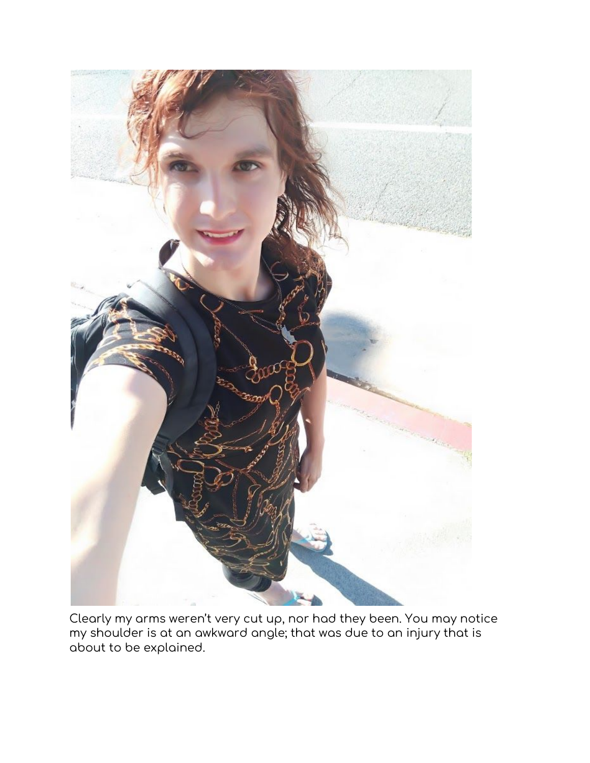

Clearly my arms weren't very cut up, nor had they been. You may notice my shoulder is at an awkward angle; that was due to an injury that is about to be explained.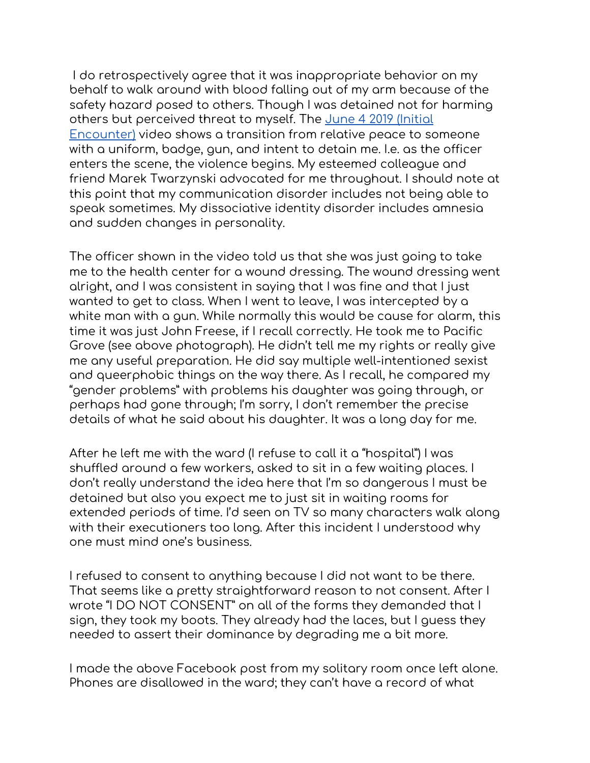I do retrospectively agree that it was inappropriate behavior on my behalf to walk around with blood falling out of my arm because of the safety hazard posed to others. Though I was detained not for harming others but perceived threat to myself. The June 4 2019 [\(Initial](https://www.youtube.com/watch?v=zicVUIqcA9A) [Encounter\)](https://www.youtube.com/watch?v=zicVUIqcA9A) video shows a transition from relative peace to someone with a uniform, badge, gun, and intent to detain me. I.e. as the officer enters the scene, the violence begins. My esteemed colleague and friend Marek Twarzynski advocated for me throughout. I should note at this point that my communication disorder includes not being able to speak sometimes. My dissociative identity disorder includes amnesia and sudden changes in personality.

The officer shown in the video told us that she was just going to take me to the health center for a wound dressing. The wound dressing went alright, and I was consistent in saying that I was fine and that I just wanted to get to class. When I went to leave, I was intercepted by a white man with a gun. While normally this would be cause for alarm, this time it was just John Freese, if I recall correctly. He took me to Pacific Grove (see above photograph). He didn't tell me my rights or really give me any useful preparation. He did say multiple well-intentioned sexist and queerphobic things on the way there. As I recall, he compared my "gender problems" with problems his daughter was going through, or perhaps had gone through; I'm sorry, I don't remember the precise details of what he said about his daughter. It was a long day for me.

After he left me with the ward (I refuse to call it a "hospital") I was shuffled around a few workers, asked to sit in a few waiting places. I don't really understand the idea here that I'm so dangerous I must be detained but also you expect me to just sit in waiting rooms for extended periods of time. I'd seen on TV so many characters walk along with their executioners too long. After this incident I understood why one must mind one's business.

I refused to consent to anything because I did not want to be there. That seems like a pretty straightforward reason to not consent. After I wrote "I DO NOT CONSENT" on all of the forms they demanded that I sign, they took my boots. They already had the laces, but I guess they needed to assert their dominance by degrading me a bit more.

I made the above Facebook post from my solitary room once left alone. Phones are disallowed in the ward; they can't have a record of what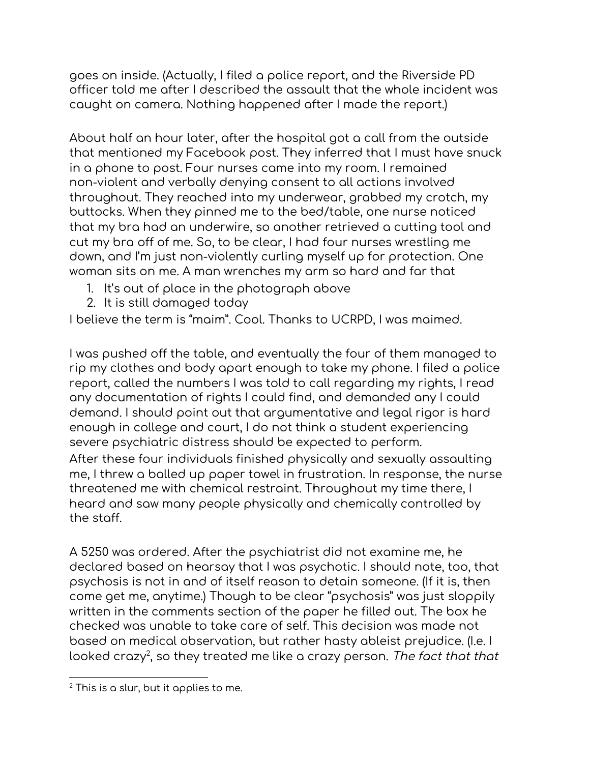goes on inside. (Actually, I filed a police report, and the Riverside PD officer told me after I described the assault that the whole incident was caught on camera. Nothing happened after I made the report.)

About half an hour later, after the hospital got a call from the outside that mentioned my Facebook post. They inferred that I must have snuck in a phone to post. Four nurses came into my room. I remained non-violent and verbally denying consent to all actions involved throughout. They reached into my underwear, grabbed my crotch, my buttocks. When they pinned me to the bed/table, one nurse noticed that my bra had an underwire, so another retrieved a cutting tool and cut my bra off of me. So, to be clear, I had four nurses wrestling me down, and I'm just non-violently curling myself up for protection. One woman sits on me. A man wrenches my arm so hard and far that

- 1. It's out of place in the photograph above
- 2. It is still damaged today

I believe the term is "maim". Cool. Thanks to UCRPD, I was maimed.

I was pushed off the table, and eventually the four of them managed to rip my clothes and body apart enough to take my phone. I filed a police report, called the numbers I was told to call regarding my rights, I read any documentation of rights I could find, and demanded any I could demand. I should point out that argumentative and legal rigor is hard enough in college and court, I do not think a student experiencing severe psychiatric distress should be expected to perform. After these four individuals finished physically and sexually assaulting me, I threw a balled up paper towel in frustration. In response, the nurse threatened me with chemical restraint. Throughout my time there, I heard and saw many people physically and chemically controlled by the staff.

A 5250 was ordered. After the psychiatrist did not examine me, he declared based on hearsay that I was psychotic. I should note, too, that psychosis is not in and of itself reason to detain someone. (If it is, then come get me, anytime.) Though to be clear "psychosis" was just sloppily written in the comments section of the paper he filled out. The box he checked was unable to take care of self. This decision was made not based on medical observation, but rather hasty ableist prejudice. (I.e. I looked crazy<sup>2</sup>, so they treated me like a crazy person. *The fact that that* 

 $2$  This is a slur, but it applies to me.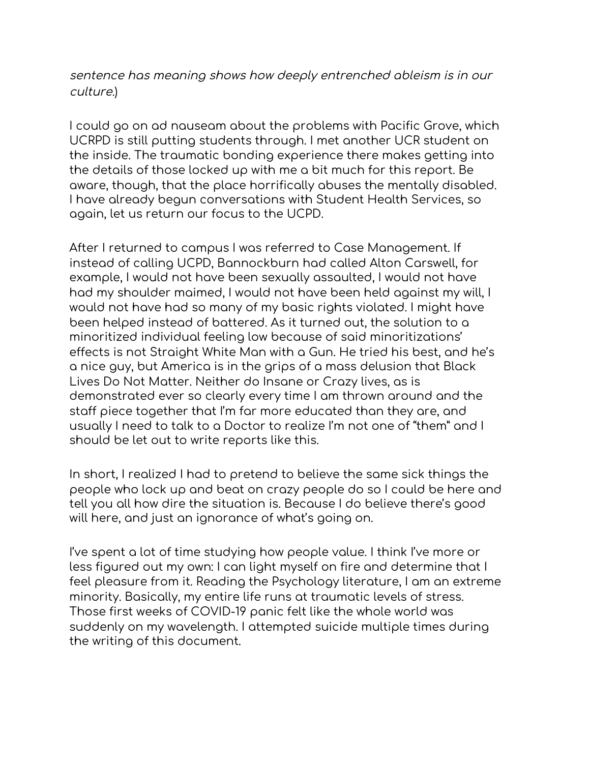sentence has meaning shows how deeply entrenched ableism is in our culture.)

I could go on ad nauseam about the problems with Pacific Grove, which UCRPD is still putting students through. I met another UCR student on the inside. The traumatic bonding experience there makes getting into the details of those locked up with me a bit much for this report. Be aware, though, that the place horrifically abuses the mentally disabled. I have already begun conversations with Student Health Services, so again, let us return our focus to the UCPD.

After I returned to campus I was referred to Case Management. If instead of calling UCPD, Bannockburn had called Alton Carswell, for example, I would not have been sexually assaulted, I would not have had my shoulder maimed, I would not have been held against my will, I would not have had so many of my basic rights violated. I might have been helped instead of battered. As it turned out, the solution to a minoritized individual feeling low because of said minoritizations' effects is not Straight White Man with a Gun. He tried his best, and he's a nice guy, but America is in the grips of a mass delusion that Black Lives Do Not Matter. Neither do Insane or Crazy lives, as is demonstrated ever so clearly every time I am thrown around and the staff piece together that I'm far more educated than they are, and usually I need to talk to a Doctor to realize I'm not one of "them" and I should be let out to write reports like this.

In short, I realized I had to pretend to believe the same sick things the people who lock up and beat on crazy people do so I could be here and tell you all how dire the situation is. Because I do believe there's good will here, and just an ignorance of what's going on.

I've spent a lot of time studying how people value. I think I've more or less figured out my own: I can light myself on fire and determine that I feel pleasure from it. Reading the Psychology literature, I am an extreme minority. Basically, my entire life runs at traumatic levels of stress. Those first weeks of COVID-19 panic felt like the whole world was suddenly on my wavelength. I attempted suicide multiple times during the writing of this document.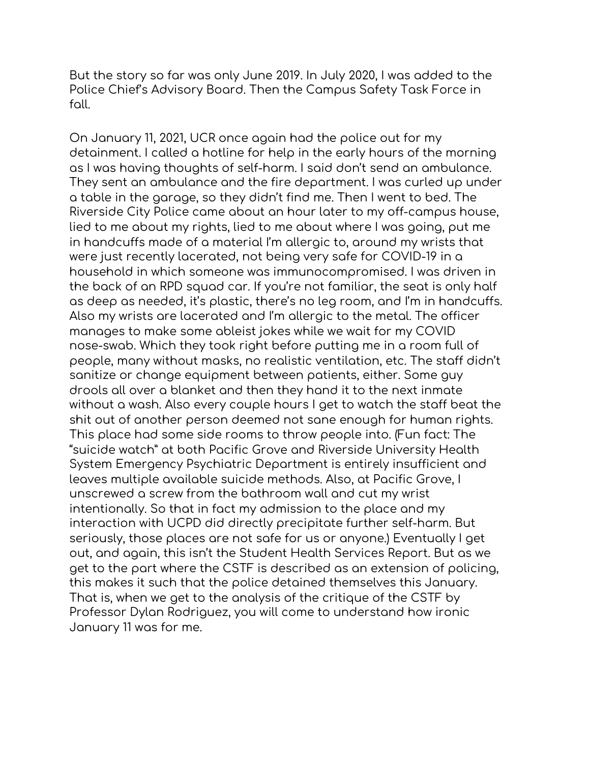But the story so far was only June 2019. In July 2020, I was added to the Police Chief's Advisory Board. Then the Campus Safety Task Force in fall.

On January 11, 2021, UCR once again had the police out for my detainment. I called a hotline for help in the early hours of the morning as I was having thoughts of self-harm. I said don't send an ambulance. They sent an ambulance and the fire department. I was curled up under a table in the garage, so they didn't find me. Then I went to bed. The Riverside City Police came about an hour later to my off-campus house, lied to me about my rights, lied to me about where I was going, put me in handcuffs made of a material I'm allergic to, around my wrists that were just recently lacerated, not being very safe for COVID-19 in a household in which someone was immunocompromised. I was driven in the back of an RPD squad car. If you're not familiar, the seat is only half as deep as needed, it's plastic, there's no leg room, and I'm in handcuffs. Also my wrists are lacerated and I'm allergic to the metal. The officer manages to make some ableist jokes while we wait for my COVID nose-swab. Which they took right before putting me in a room full of people, many without masks, no realistic ventilation, etc. The staff didn't sanitize or change equipment between patients, either. Some guy drools all over a blanket and then they hand it to the next inmate without a wash. Also every couple hours I get to watch the staff beat the shit out of another person deemed not sane enough for human rights. This place had some side rooms to throw people into. (Fun fact: The "suicide watch" at both Pacific Grove and Riverside University Health System Emergency Psychiatric Department is entirely insufficient and leaves multiple available suicide methods. Also, at Pacific Grove, I unscrewed a screw from the bathroom wall and cut my wrist intentionally. So that in fact my admission to the place and my interaction with UCPD did directly precipitate further self-harm. But seriously, those places are not safe for us or anyone.) Eventually I get out, and again, this isn't the Student Health Services Report. But as we get to the part where the CSTF is described as an extension of policing, this makes it such that the police detained themselves this January. That is, when we get to the analysis of the critique of the CSTF by Professor Dylan Rodriguez, you will come to understand how ironic January 11 was for me.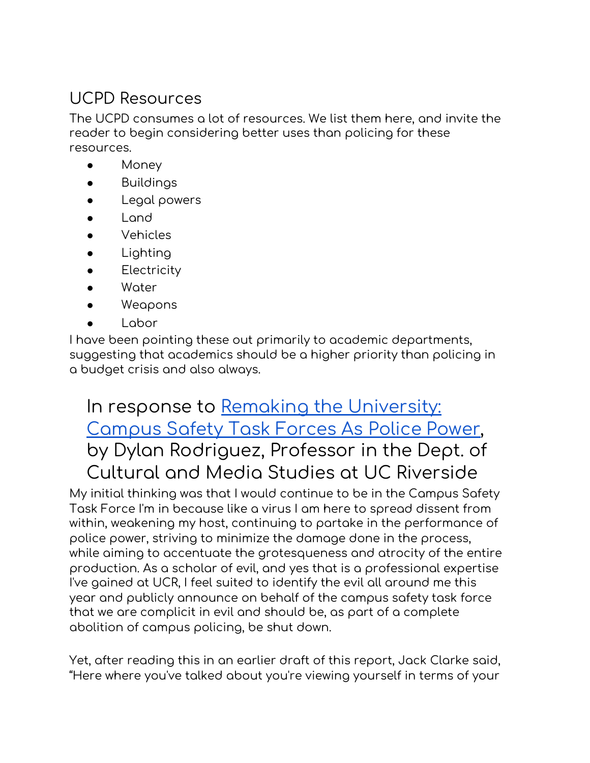### UCPD Resources

The UCPD consumes a lot of resources. We list them here, and invite the reader to begin considering better uses than policing for these resources.

- Money
- **Buildings**
- Legal powers
- Land
- **Vehicles**
- Lighting
- **•** Electricity
- Water
- Weapons
- Labor

I have been pointing these out primarily to academic departments, suggesting that academics should be a higher priority than policing in a budget crisis and also always.

# In response to Remaking the [University:](https://utotherescue.blogspot.com/2021/01/campus-safety-task-forces-as-police.html?m=1) [Campus](https://utotherescue.blogspot.com/2021/01/campus-safety-task-forces-as-police.html?m=1) Safety Task Forces As Police Power, by Dylan Rodriguez, Professor in the Dept. of Cultural and Media Studies at UC Riverside

My initial thinking was that I would continue to be in the Campus Safety Task Force I'm in because like a virus I am here to spread dissent from within, weakening my host, continuing to partake in the performance of police power, striving to minimize the damage done in the process, while aiming to accentuate the grotesqueness and atrocity of the entire production. As a scholar of evil, and yes that is a professional expertise I've gained at UCR, I feel suited to identify the evil all around me this year and publicly announce on behalf of the campus safety task force that we are complicit in evil and should be, as part of a complete abolition of campus policing, be shut down.

Yet, after reading this in an earlier draft of this report, Jack Clarke said, "Here where you've talked about you're viewing yourself in terms of your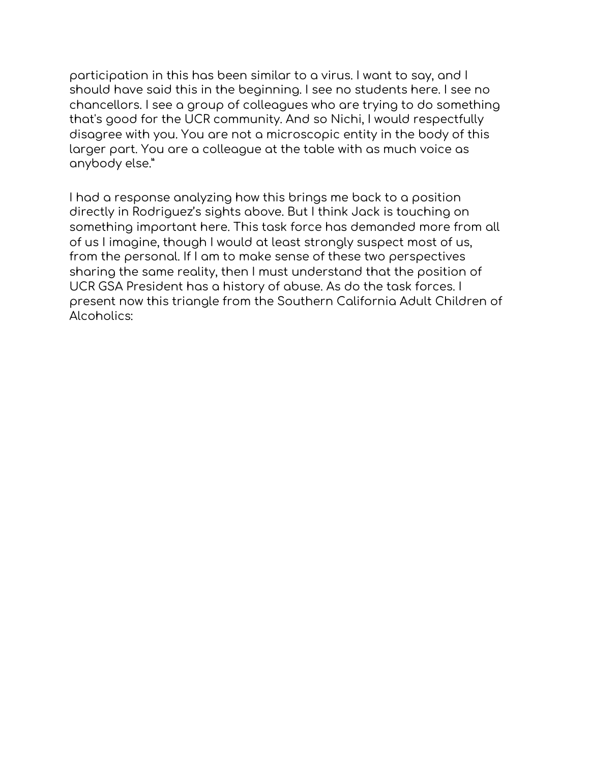participation in this has been similar to a virus. I want to say, and I should have said this in the beginning. I see no students here. I see no chancellors. I see a group of colleagues who are trying to do something that's good for the UCR community. And so Nichi, I would respectfully disagree with you. You are not a microscopic entity in the body of this larger part. You are a colleague at the table with as much voice as anybody else."

I had a response analyzing how this brings me back to a position directly in Rodriguez's sights above. But I think Jack is touching on something important here. This task force has demanded more from all of us I imagine, though I would at least strongly suspect most of us, from the personal. If I am to make sense of these two perspectives sharing the same reality, then I must understand that the position of UCR GSA President has a history of abuse. As do the task forces. I present now this triangle from the Southern California Adult Children of Alcoholics: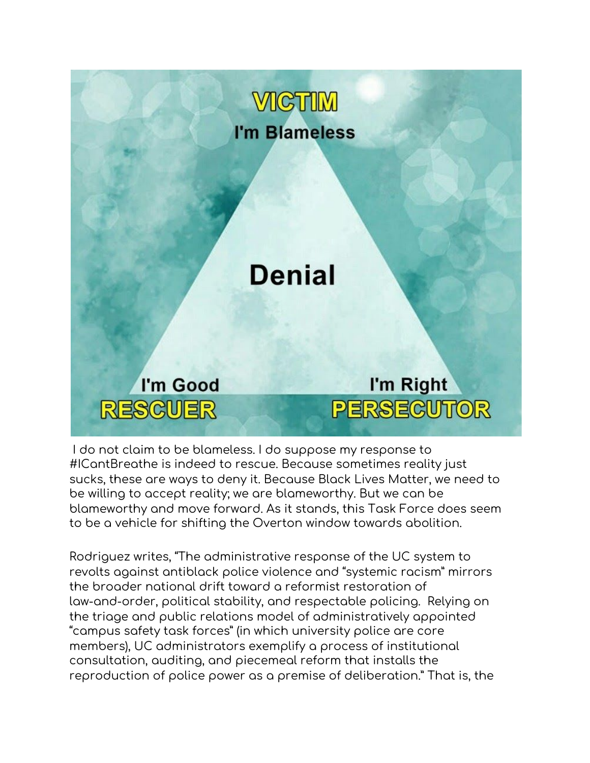

I do not claim to be blameless. I do suppose my response to #ICantBreathe is indeed to rescue. Because sometimes reality just sucks, these are ways to deny it. Because Black Lives Matter, we need to be willing to accept reality; we are blameworthy. But we can be blameworthy and move forward. As it stands, this Task Force does seem to be a vehicle for shifting the Overton window towards abolition.

Rodriguez writes, "The administrative response of the UC system to revolts against antiblack police violence and "systemic racism" mirrors the broader national drift toward a reformist restoration of law-and-order, political stability, and respectable policing. Relying on the triage and public relations model of administratively appointed "campus safety task forces" (in which university police are core members), UC administrators exemplify a process of institutional consultation, auditing, and piecemeal reform that installs the reproduction of police power as a premise of deliberation." That is, the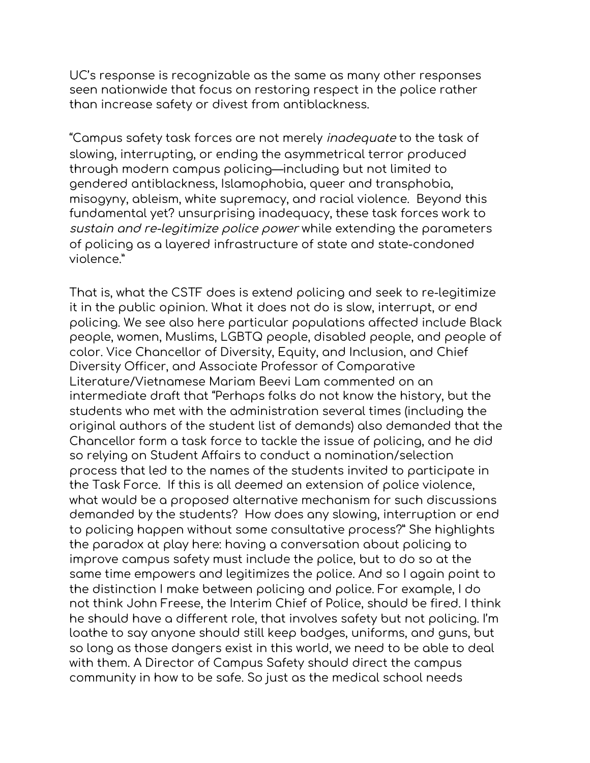UC's response is recognizable as the same as many other responses seen nationwide that focus on restoring respect in the police rather than increase safety or divest from antiblackness.

"Campus safety task forces are not merely inadequate to the task of slowing, interrupting, or ending the asymmetrical terror produced through modern campus policing—including but not limited to gendered antiblackness, Islamophobia, queer and transphobia, misogyny, ableism, white supremacy, and racial violence. Beyond this fundamental yet? unsurprising inadequacy, these task forces work to sustain and re-legitimize police power while extending the parameters of policing as a layered infrastructure of state and state-condoned violence."

That is, what the CSTF does is extend policing and seek to re-legitimize it in the public opinion. What it does not do is slow, interrupt, or end policing. We see also here particular populations affected include Black people, women, Muslims, LGBTQ people, disabled people, and people of color. Vice Chancellor of Diversity, Equity, and Inclusion, and Chief Diversity Officer, and Associate Professor of Comparative Literature/Vietnamese Mariam Beevi Lam commented on an intermediate draft that "Perhaps folks do not know the history, but the students who met with the administration several times (including the original authors of the student list of demands) also demanded that the Chancellor form a task force to tackle the issue of policing, and he did so relying on Student Affairs to conduct a nomination/selection process that led to the names of the students invited to participate in the Task Force. If this is all deemed an extension of police violence, what would be a proposed alternative mechanism for such discussions demanded by the students? How does any slowing, interruption or end to policing happen without some consultative process?" She highlights the paradox at play here: having a conversation about policing to improve campus safety must include the police, but to do so at the same time empowers and legitimizes the police. And so I again point to the distinction I make between policing and police. For example, I do not think John Freese, the Interim Chief of Police, should be fired. I think he should have a different role, that involves safety but not policing. I'm loathe to say anyone should still keep badges, uniforms, and guns, but so long as those dangers exist in this world, we need to be able to deal with them. A Director of Campus Safety should direct the campus community in how to be safe. So just as the medical school needs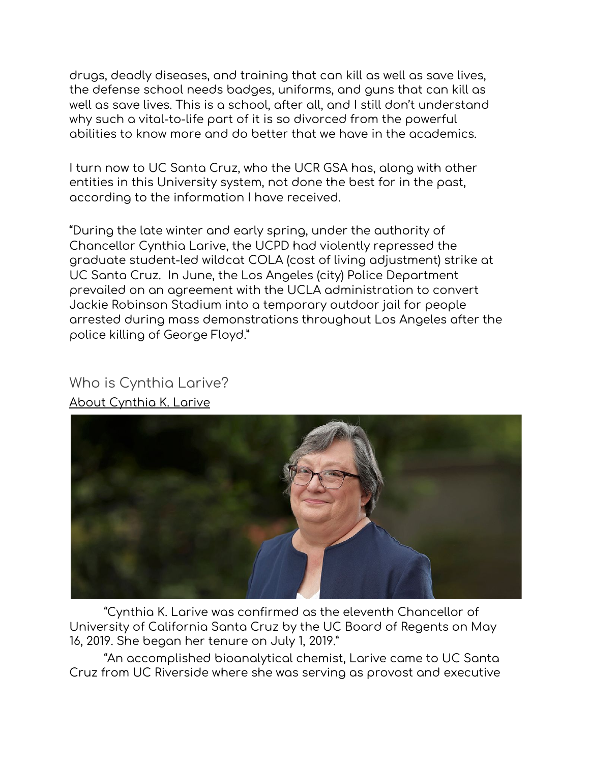drugs, deadly diseases, and training that can kill as well as save lives, the defense school needs badges, uniforms, and guns that can kill as well as save lives. This is a school, after all, and I still don't understand why such a vital-to-life part of it is so divorced from the powerful abilities to know more and do better that we have in the academics.

I turn now to UC Santa Cruz, who the UCR GSA has, along with other entities in this University system, not done the best for in the past, according to the information I have received.

"During the late winter and early spring, under the authority of Chancellor Cynthia Larive, the UCPD had violently repressed the graduate student-led wildcat COLA (cost of living adjustment) strike at UC Santa Cruz. In June, the Los Angeles (city) Police Department prevailed on an [agreement](https://doi.org/10.21428/1d6be30e.8cc96f6f,%20https:/saw.americananthro.org/pub/whose-university-when-police-pass-the-baton-to-campuses/release/1) with the UCLA [administration](https://www.latimes.com/california/story/2020-06-04/ucla-chancellor-calls-lapd-use-of-jackie-robinson-stadium-to-process-arrests-a-violation) to convert Jackie [Robinson](https://newsroom.ucla.edu/releases/ucla-a-violation-of-our-values) Stadium into a temporary outdoor jail for people arrested during mass demonstrations throughout Los Angeles after the police killing of George Floyd."

# Who is Cynthia Larive?





"Cynthia K. Larive was confirmed as the eleventh Chancellor of University of California Santa Cruz by the UC Board of Regents on May 16, 2019. She began her tenure on July 1, 2019."

"An accomplished bioanalytical chemist, Larive came to UC Santa Cruz from UC Riverside where she was serving as provost and executive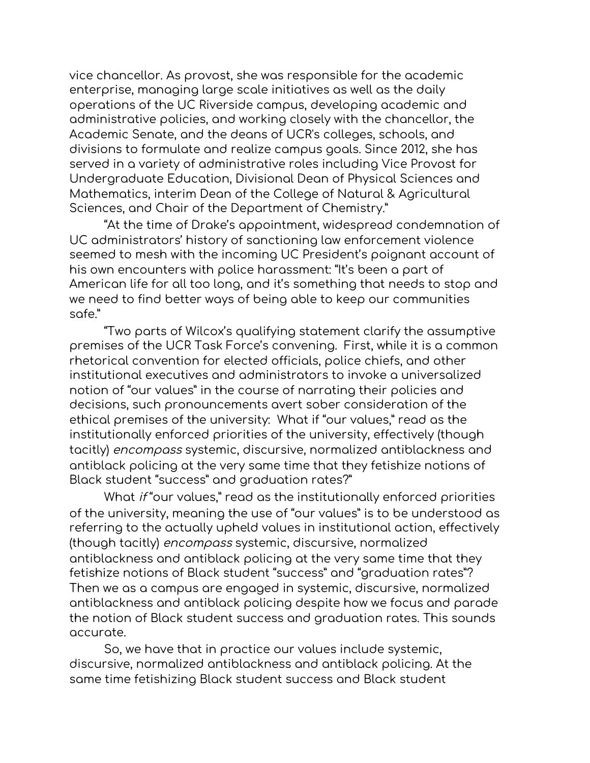vice chancellor. As provost, she was responsible for the academic enterprise, managing large scale initiatives as well as the daily operations of the UC Riverside campus, developing academic and administrative policies, and working closely with the chancellor, the Academic Senate, and the deans of UCR's colleges, schools, and divisions to formulate and realize campus goals. Since 2012, she has served in a variety of administrative roles including Vice Provost for Undergraduate Education, Divisional Dean of Physical Sciences and Mathematics, interim Dean of the College of Natural & Agricultural Sciences, and Chair of the Department of Chemistry."

"At the time of Drake's appointment, widespread condemnation of UC administrators' history of sanctioning law enforcement violence seemed to mesh with the incoming UC President's poignant [account](https://www.latimes.com/california/story/2020-07-08/uc-president-elect-michael-v-drake-knows-firsthand-about-harsh-police-tactics) of his own encounters with police harassment: "It's been a part of American life for all too long, and it's something that needs to stop and we need to find better ways of being able to keep our communities safe."

"Two parts of Wilcox's qualifying statement clarify the assumptive premises of the UCR Task Force's convening. First, while it is a common rhetorical convention for elected officials, police chiefs, and other institutional executives and administrators to invoke a universalized notion of "our values" in the course of narrating their policies and decisions, such pronouncements avert sober consideration of the ethical premises of the university: What if "our values," read as the institutionally enforced priorities of the university, effectively (though tacitly) encompass systemic, discursive, normalized antiblackness and antiblack policing at the very same time that they fetishize notions of Black student "success" and graduation rates?"

What if "our values," read as the institutionally enforced priorities of the university, meaning the use of "our values" is to be understood as referring to the actually upheld values in institutional action, effectively (though tacitly) encompass systemic, discursive, normalized antiblackness and antiblack policing at the very same time that they fetishize notions of Black student "success" and "graduation rates"? Then we as a campus are engaged in systemic, discursive, normalized antiblackness and antiblack policing despite how we focus and parade the notion of Black student success and graduation rates. This sounds accurate.

So, we have that in practice our values include systemic, discursive, normalized antiblackness and antiblack policing. At the same time fetishizing Black student success and Black student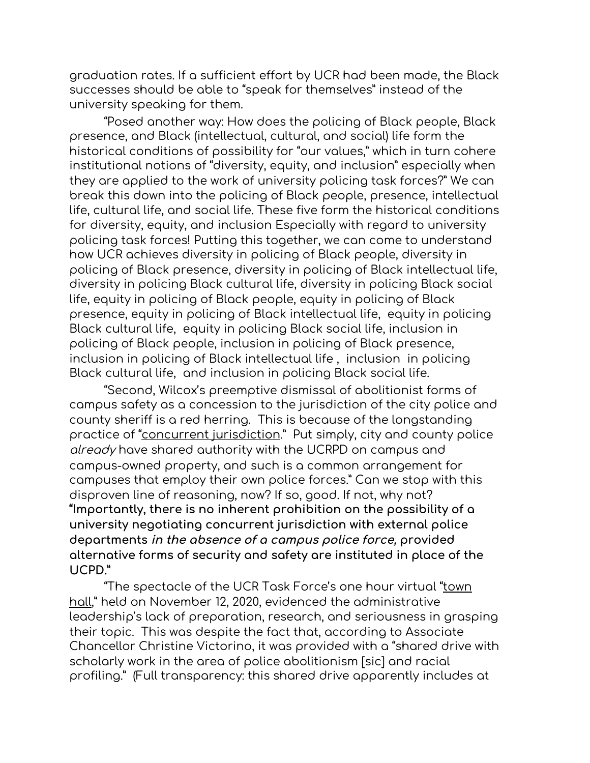graduation rates. If a sufficient effort by UCR had been made, the Black successes should be able to "speak for themselves" instead of the university speaking for them.

"Posed another way: How does the policing of Black people, Black presence, and Black (intellectual, cultural, and social) life form the historical conditions of possibility for "our values," which in turn cohere institutional notions of "diversity, equity, and inclusion" especially when they are applied to the work of university policing task forces?" We can break this down into the policing of Black people, presence, intellectual life, cultural life, and social life. These five form the historical conditions for diversity, equity, and inclusion Especially with regard to university policing task forces! Putting this together, we can come to understand how UCR achieves diversity in policing of Black people, diversity in policing of Black presence, diversity in policing of Black intellectual life, diversity in policing Black cultural life, diversity in policing Black social life, equity in policing of Black people, equity in policing of Black presence, equity in policing of Black intellectual life, equity in policing Black cultural life, equity in policing Black social life, inclusion in policing of Black people, inclusion in policing of Black presence, inclusion in policing of Black intellectual life , inclusion in policing Black cultural life, and inclusion in policing Black social life.

"Second, Wilcox's preemptive dismissal of abolitionist forms of campus safety as a concession to the jurisdiction of the city police and county sheriff is a red herring. This is because of the longstanding practice of "concurrent [jurisdiction](https://policy.ucop.edu/doc/4000382/PoliceProceduresManual)." Put simply, city and county police already have shared authority with the UCRPD on campus and campus-owned property, and such is a common arrangement for campuses that employ their own police forces." Can we stop with this disproven line of reasoning, now? If so, good. If not, why not? **"Importantly, there is no inherent prohibition on the possibility of a university negotiating concurrent jurisdiction with external police departments in the absence of <sup>a</sup> campus police force, provided alternative forms of security and safety are instituted in place of the UCPD."**

"The spectacle of the UCR Task Force's one hour virtual "<u>[town](https://chancellor.ucr.edu/task-force-campus-safety)</u> [hall](https://chancellor.ucr.edu/task-force-campus-safety)," held on November 12, 2020, evidenced the administrative leadership's lack of preparation, research, and seriousness in grasping their topic. This was despite the fact that, according to Associate Chancellor Christine Victorino, it was provided with a "shared drive with scholarly work in the area of police abolitionism [sic] and racial profiling." (Full transparency: this shared drive apparently includes at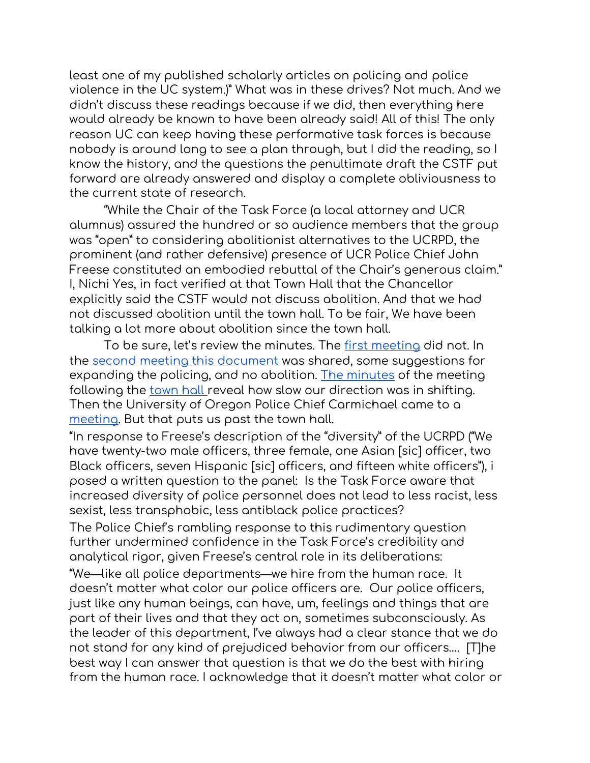least one of my published scholarly articles on policing and police violence in the UC system.)" What was in these drives? Not much. And we didn't discuss these readings because if we did, then everything here would already be known to have been already said! All of this! The only reason UC can keep having these performative task forces is because nobody is around long to see a plan through, but I did the reading, so I know the history, and the questions the penultimate draft the CSTF put forward are already answered and display a complete obliviousness to the current state of research.

"While the Chair of the Task Force (a local attorney and UCR alumnus) assured the hundred or so audience members that the group was "open" to considering abolitionist alternatives to the UCRPD, the prominent (and rather defensive) presence of UCR Police Chief John Freese constituted an embodied rebuttal of the Chair's generous claim." I, Nichi Yes, in fact verified at that Town Hall that the Chancellor explicitly said the CSTF would not discuss abolition. And that we had not discussed abolition until the town hall. To be fair, We have been talking a lot more about abolition since the town hall.

To be sure, let's review the minutes. The first [meeting](https://chancellor.ucr.edu/sites/g/files/rcwecm761/files/2020-10/CSTF_Meeting_Minutes_10-14-20.pdf) did not. In the second [meeting](https://chancellor.ucr.edu/sites/g/files/rcwecm761/files/2020-11/CSTFMeeting%20Minutes102920.pdf) this [document](https://www.pewresearch.org/social-trends/2016/06/27/1-demographic-trends-and-economic-well-being/) was shared, some suggestions for expanding the policing, and no abolition. The [minutes](https://chancellor.ucr.edu/sites/g/files/rcwecm761/files/2020-12/CSTFMeetingMinutes111220.pdf) of the meeting following the [town](https://ucr.zoom.us/rec/share/MYyTwiXfDbhbrZNuEHQ68vMEANo5jFjnJ8kQP8CKEzqmWWY0ovQwSWOgQD-aBNtX.UXy7aY52G9wNYPvF) hall reveal how slow our direction was in shifting. Then the University of Oregon Police Chief Carmichael came to a [meeting.](https://chancellor.ucr.edu/sites/g/files/rcwecm761/files/2021-01/CSTFMeetingMinutes121020.pdf) But that puts us past the town hall.

"In response to Freese's description of the "diversity" of the UCRPD ("We have twenty-two male officers, three female, one Asian [sic] officer, two Black officers, seven Hispanic [sic] officers, and fifteen white officers"), i posed a written question to the panel: Is the Task Force aware that increased diversity of police personnel does not lead to less racist, less sexist, less transphobic, less antiblack police practices?

The Police Chief's rambling response to this rudimentary question further undermined confidence in the Task Force's credibility and analytical rigor, given Freese's central role in its deliberations:

"We—like all police departments—we hire from the human race. It doesn't matter what color our police officers are. Our police officers, just like any human beings, can have, um, feelings and things that are part of their lives and that they act on, sometimes subconsciously. As the leader of this department, I've always had a clear stance that we do not stand for any kind of prejudiced behavior from our officers…. [T]he best way I can answer that question is that we do the best with hiring from the human race. I acknowledge that it doesn't matter what color or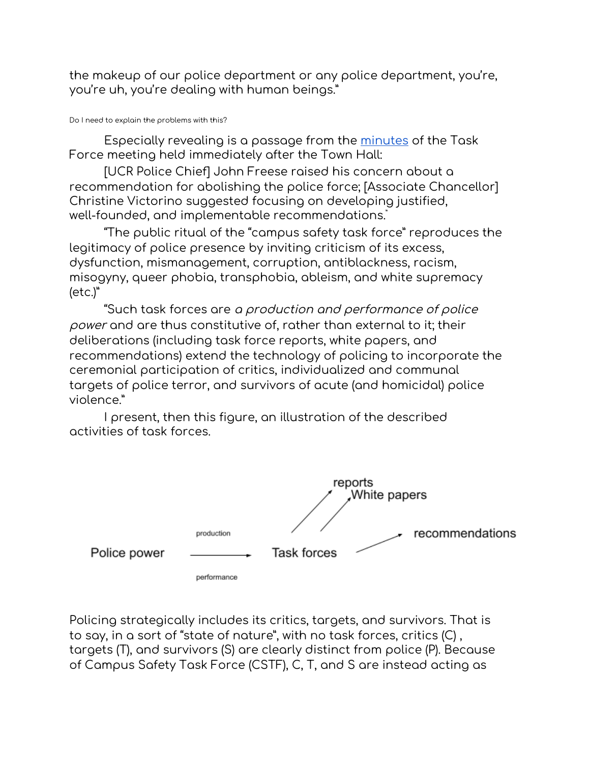the makeup of our police department or any police department, you're, you're uh, you're dealing with human beings."

#### Do I need to explain the problems with this?

Especially revealing is a passage from the [minutes](https://chancellor.ucr.edu/task-force-campus-safety) of the Task Force meeting held immediately after the Town Hall:

[UCR Police Chief] John Freese raised his concern about a recommendation for abolishing the police force; [Associate Chancellor] Christine Victorino suggested focusing on developing justified, well-founded, and implementable recommendations. "

"The public ritual of the "campus safety task force" reproduces the legitimacy of police presence by inviting criticism of its excess, dysfunction, mismanagement, corruption, antiblackness, racism, misogyny, queer phobia, transphobia, ableism, and white supremacy (etc.)"

"Such task forces are <sup>a</sup> production and performance of police power and are thus constitutive of, rather than external to it; their deliberations (including task force reports, white papers, and recommendations) extend the technology of policing to incorporate the ceremonial participation of critics, individualized and communal targets of police terror, and survivors of acute (and homicidal) police violence."

I present, then this figure, an illustration of the described activities of task forces.



Policing strategically includes its critics, targets, and survivors. That is to say, in a sort of "state of nature", with no task forces, critics (C) , targets (T), and survivors (S) are clearly distinct from police (P). Because of Campus Safety Task Force (CSTF), C, T, and S are instead acting as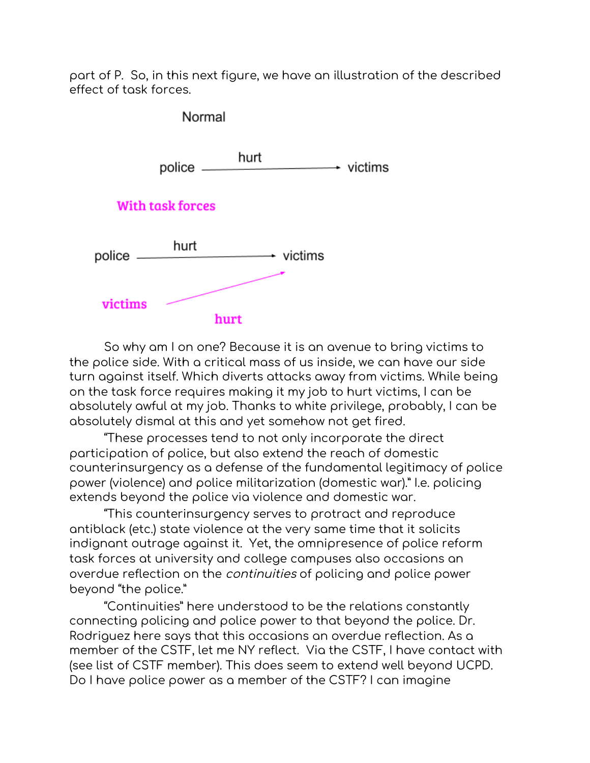part of P. So, in this next figure, we have an illustration of the described effect of task forces.



So why am I on one? Because it is an avenue to bring victims to the police side. With a critical mass of us inside, we can have our side turn against itself. Which diverts attacks away from victims. While being on the task force requires making it my job to hurt victims, I can be absolutely awful at my job. Thanks to white privilege, probably, I can be absolutely dismal at this and yet somehow not get fired.

"These processes tend to not only incorporate the direct participation of police, but also extend the reach of domestic counterinsurgency as a defense of the fundamental legitimacy of police power (violence) and police militarization (domestic war)." I.e. policing extends beyond the police via violence and domestic war.

"This counterinsurgency serves to protract and reproduce antiblack (etc.) state violence at the very same time that it solicits indignant outrage against it. Yet, the omnipresence of police reform task forces at university and college campuses also occasions an overdue reflection on the continuities of policing and police power beyond "the police."

"Continuities" here understood to be the relations constantly connecting policing and police power to that beyond the police. Dr. Rodriguez here says that this occasions an overdue reflection. As a member of the CSTF, let me NY reflect. Via the CSTF, I have contact with (see list of CSTF member). This does seem to extend well beyond UCPD. Do I have police power as a member of the CSTF? I can imagine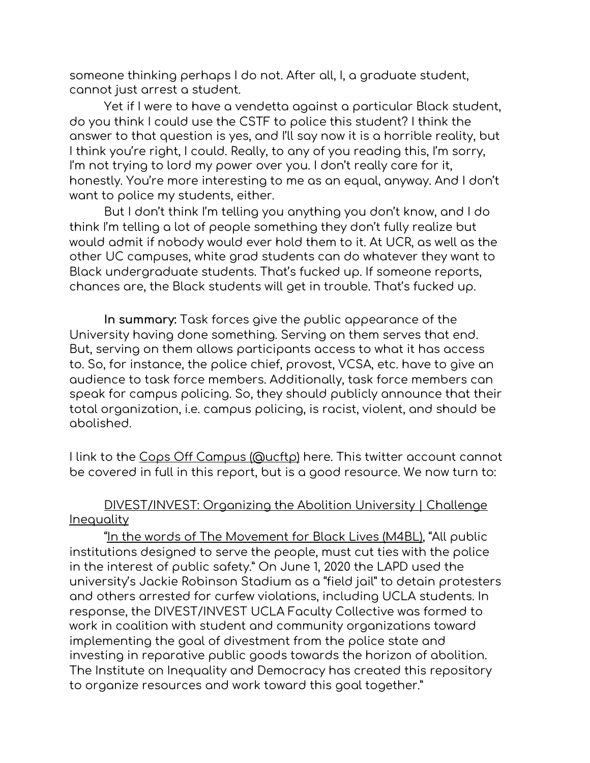someone thinking perhaps I do not. After all, I, a graduate student, cannot just arrest a student.

Yet if I were to have a vendetta against a particular Black student, do you think I could use the CSTF to police this student? I think the answer to that question is yes, and I'll say now it is a horrible reality, but I think you're right, I could. Really, to any of you reading this, I'm sorry, I'm not trying to lord my power over you. I don't really care for it, honestly. You're more interesting to me as an equal, anyway. And I don't want to police my students, either.

But I don't think I'm telling you anything you don't know, and I do think I'm telling a lot of people something they don't fully realize but would admit if nobody would ever hold them to it. At UCR, as well as the other UC campuses, white grad students can do whatever they want to Black undergraduate students. That's fucked up. If someone reports, chances are, the Black students will get in trouble. That's fucked up.

**In summary:** Task forces give the public appearance of the University having done something. Serving on them serves that end. But, serving on them allows participants access to what it has access to. So, for instance, the police chief, provost, VCSA, etc. have to give an audience to task force members. Additionally, task force members can speak for campus policing. So, they should publicly announce that their total organization, i.e. campus policing, is racist, violent, and should be abolished.

I link to the Cops Off Campus [\(@ucftp\)](https://twitter.com/ucftp?lang=en) here. This twitter account cannot be covered in full in this report, but is a good resource. We now turn to:

#### [DIVEST/INVEST:](https://challengeinequality.luskin.ucla.edu/abolition-repository/) Organizing the Abolition University | Challenge [Inequality](https://challengeinequality.luskin.ucla.edu/abolition-repository/)

"In the words of The [Movement](https://m4bl.org/week-of-action/tuesday/) for Black Lives (M4BL), "All public institutions designed to serve the people, must cut ties with the police in the interest of public safety." On June 1, 2020 the LAPD used the university's Jackie Robinson Stadium as a "field jail" to detain protesters and others arrested for curfew violations, including UCLA students. In response, the DIVEST/INVEST UCLA Faculty Collective was formed to work in coalition with student and community organizations toward implementing the goal of divestment from the police state and investing in reparative public goods towards the horizon of abolition. The Institute on Inequality and Democracy has created this repository to organize resources and work toward this goal together."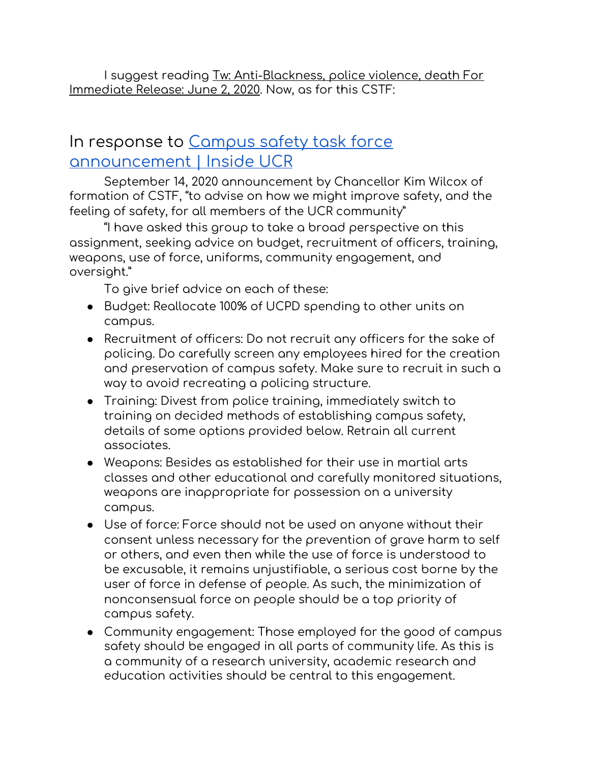I suggest reading Tw: [Anti-Blackness,](https://ucsa.org/wp-content/uploads/2020/06/UCSA-Statement-Anti-Blackness-Police-Violence-6_2.pdf) police violence, death For [Immediate](https://ucsa.org/wp-content/uploads/2020/06/UCSA-Statement-Anti-Blackness-Police-Violence-6_2.pdf) Release: June 2, 2020. Now, as for this CSTF:

#### In response to [Campus](https://insideucr.ucr.edu/announcements/2020/09/14/campus-safety-task-force-announcement) safety task force [announcement](https://insideucr.ucr.edu/announcements/2020/09/14/campus-safety-task-force-announcement) | Inside UCR

September 14, 2020 announcement by Chancellor Kim Wilcox of formation of CSTF, "to advise on how we might improve safety, and the feeling of safety, for all members of the UCR community"

"I have asked this group to take a broad perspective on this assignment, seeking advice on budget, recruitment of officers, training, weapons, use of force, uniforms, community engagement, and oversight."

To give brief advice on each of these:

- Budget: Reallocate 100% of UCPD spending to other units on campus.
- Recruitment of officers: Do not recruit any officers for the sake of policing. Do carefully screen any employees hired for the creation and preservation of campus safety. Make sure to recruit in such a way to avoid recreating a policing structure.
- Training: Divest from police training, immediately switch to training on decided methods of establishing campus safety, details of some options provided below. Retrain all current associates.
- Weapons: Besides as established for their use in martial arts classes and other educational and carefully monitored situations, weapons are inappropriate for possession on a university campus.
- Use of force: Force should not be used on anyone without their consent unless necessary for the prevention of grave harm to self or others, and even then while the use of force is understood to be excusable, it remains unjustifiable, a serious cost borne by the user of force in defense of people. As such, the minimization of nonconsensual force on people should be a top priority of campus safety.
- Community engagement: Those employed for the good of campus safety should be engaged in all parts of community life. As this is a community of a research university, academic research and education activities should be central to this engagement.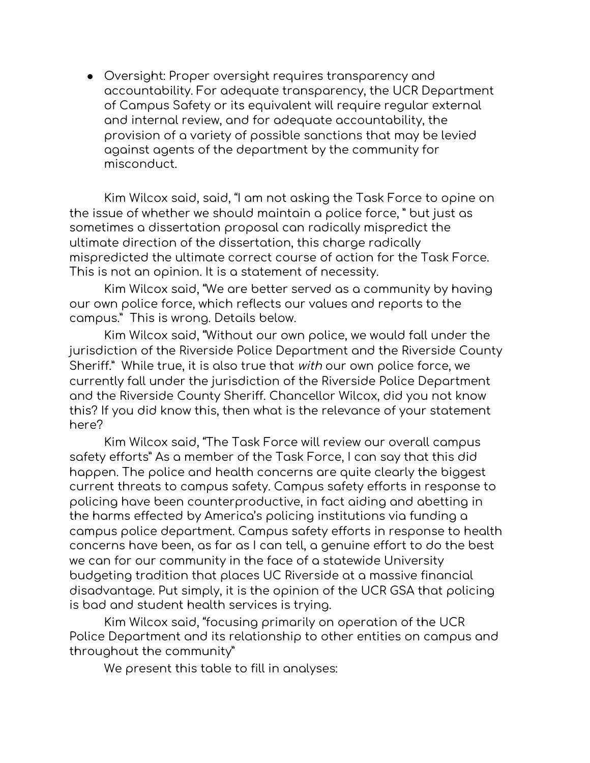● Oversight: Proper oversight requires transparency and accountability. For adequate transparency, the UCR Department of Campus Safety or its equivalent will require regular external and internal review, and for adequate accountability, the provision of a variety of possible sanctions that may be levied against agents of the department by the community for misconduct.

Kim Wilcox said, said, "I am not asking the Task Force to opine on the issue of whether we should maintain a police force, " but just as sometimes a dissertation proposal can radically mispredict the ultimate direction of the dissertation, this charge radically mispredicted the ultimate correct course of action for the Task Force. This is not an opinion. It is a statement of necessity.

Kim Wilcox said, "We are better served as a community by having our own police force, which reflects our values and reports to the campus." This is wrong. Details below.

Kim Wilcox said, "Without our own police, we would fall under the jurisdiction of the Riverside Police Department and the Riverside County Sheriff." While true, it is also true that with our own police force, we currently fall under the jurisdiction of the Riverside Police Department and the Riverside County Sheriff. Chancellor Wilcox, did you not know this? If you did know this, then what is the relevance of your statement here?

Kim Wilcox said, "The Task Force will review our overall campus safety efforts" As a member of the Task Force, I can say that this did happen. The police and health concerns are quite clearly the biggest current threats to campus safety. Campus safety efforts in response to policing have been counterproductive, in fact aiding and abetting in the harms effected by America's policing institutions via funding a campus police department. Campus safety efforts in response to health concerns have been, as far as I can tell, a genuine effort to do the best we can for our community in the face of a statewide University budgeting tradition that places UC Riverside at a massive financial disadvantage. Put simply, it is the opinion of the UCR GSA that policing is bad and student health services is trying.

Kim Wilcox said, "focusing primarily on operation of the UCR Police Department and its relationship to other entities on campus and throughout the community"

We present this table to fill in analyses: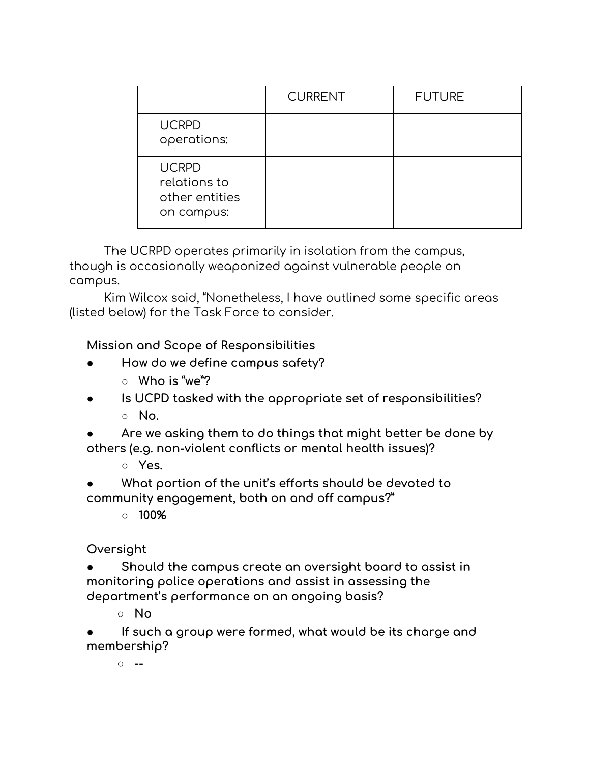|                                                              | <b>CURRENT</b> | <b>FUTURE</b> |
|--------------------------------------------------------------|----------------|---------------|
| <b>UCRPD</b><br>operations:                                  |                |               |
| <b>UCRPD</b><br>relations to<br>other entities<br>on campus: |                |               |

The UCRPD operates primarily in isolation from the campus, though is occasionally weaponized against vulnerable people on campus.

Kim Wilcox said, "Nonetheless, I have outlined some specific areas (listed below) for the Task Force to consider.

**Mission and Scope of Responsibilities**

- **● How do we define campus safety?**
	- **○ Who is "we"?**
- **● Is UCPD tasked with the appropriate set of responsibilities? ○ No.**
- **● Are we asking them to do things that might better be done by others (e.g. non-violent conflicts or mental health issues)?**
	- **○ Yes.**
- **● What portion of the unit's efforts should be devoted to community engagement, both on and off campus?"**
	- **○ 100%**

**Oversight**

**● Should the campus create an oversight board to assist in monitoring police operations and assist in assessing the department's performance on an ongoing basis?**

**○ No**

**● If such a group were formed, what would be its charge and membership?**

**○ --**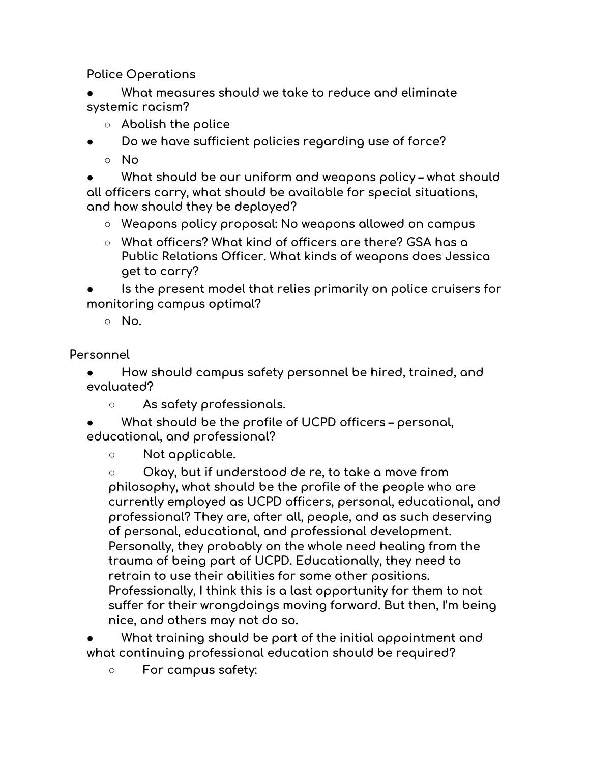**Police Operations**

**● What measures should we take to reduce and eliminate systemic racism?**

- **○ Abolish the police**
- **● Do we have sufficient policies regarding use of force?**
	- **○ No**

**● What should be our uniform and weapons policy – what should all officers carry, what should be available for special situations, and how should they be deployed?**

- **○ Weapons policy proposal: No weapons allowed on campus**
- **○ What officers? What kind of officers are there? GSA has a Public Relations Officer. What kinds of weapons does Jessica get to carry?**

**● Is the present model that relies primarily on police cruisers for monitoring campus optimal?**

**○ No.**

**Personnel**

**● How should campus safety personnel be hired, trained, and evaluated?**

**○ As safety professionals.**

**● What should be the profile of UCPD officers – personal, educational, and professional?**

**○ Not applicable.**

**○ Okay, but if understood de re, to take a move from philosophy, what should be the profile of the people who are currently employed as UCPD officers, personal, educational, and professional? They are, after all, people, and as such deserving of personal, educational, and professional development. Personally, they probably on the whole need healing from the trauma of being part of UCPD. Educationally, they need to retrain to use their abilities for some other positions. Professionally, I think this is a last opportunity for them to not suffer for their wrongdoings moving forward. But then, I'm being nice, and others may not do so.**

**● What training should be part of the initial appointment and what continuing professional education should be required?**

**○ For campus safety:**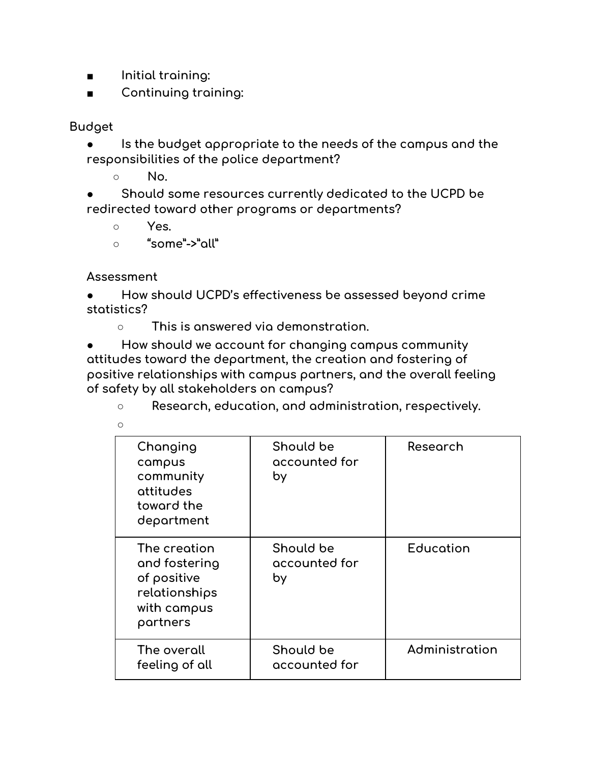- **■ Initial training:**
- **■ Continuing training:**

**Budget**

**● Is the budget appropriate to the needs of the campus and the responsibilities of the police department?**

**○ No.**

**● Should some resources currently dedicated to the UCPD be redirected toward other programs or departments?**

- **○ Yes.**
- **○ "some"->"all"**

**Assessment**

**● How should UCPD's effectiveness be assessed beyond crime statistics?**

**○ This is answered via demonstration.**

**● How should we account for changing campus community attitudes toward the department, the creation and fostering of positive relationships with campus partners, and the overall feeling of safety by all stakeholders on campus?**

**○ Research, education, and administration, respectively.**

| Changing<br>campus<br>community<br>attitudes<br>toward the<br>department                 | Should be<br>accounted for<br>by | Research       |
|------------------------------------------------------------------------------------------|----------------------------------|----------------|
| The creation<br>and fostering<br>of positive<br>relationships<br>with campus<br>partners | Should be<br>accounted for<br>by | Education      |
| The overall<br>feeling of all                                                            | Should be<br>accounted for       | Administration |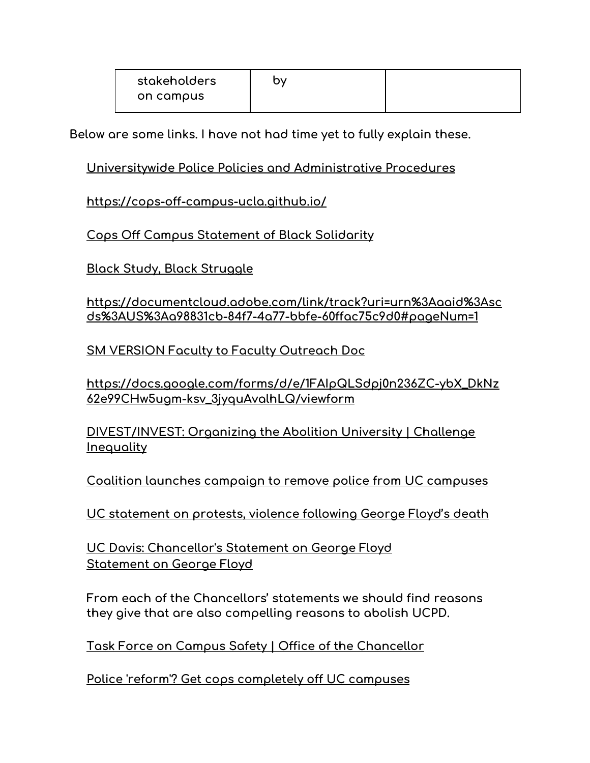| stakeholders | hv |  |
|--------------|----|--|
| on campus    |    |  |

**Below are some links. I have not had time yet to fully explain these.**

#### **[Universitywide](https://policy.ucop.edu/doc/4000382/PoliceProceduresManual) Police Policies and Administrative Procedures**

**<https://cops-off-campus-ucla.github.io/>**

**Cops Off Campus [Statement](https://docs.google.com/document/d/1YQC9I50KdrsK3tt5cQrWFIPossizQisDCisO57Bhoac/edit) of Black Solidarity**

**Black Study, Black [Struggle](https://bostonreview.net/forum/robin-d-g-kelley-black-study-black-struggle)**

**[https://documentcloud.adobe.com/link/track?uri=urn%3Aaaid%3Asc](https://documentcloud.adobe.com/link/track?uri=urn%3Aaaid%3Ascds%3AUS%3Aa98831cb-84f7-4a77-bbfe-60ffac75c9d0#pageNum=1) [ds%3AUS%3Aa98831cb-84f7-4a77-bbfe-60ffac75c9d0#pageNum=1](https://documentcloud.adobe.com/link/track?uri=urn%3Aaaid%3Ascds%3AUS%3Aa98831cb-84f7-4a77-bbfe-60ffac75c9d0#pageNum=1)**

**SM VERSION Faculty to Faculty [Outreach](https://docs.google.com/document/d/178iqquRrkNV232XacrsFq-k-0Tc3dOkPqt0WvqKLjq4/edit) Doc**

**[https://docs.google.com/forms/d/e/1FAIpQLSdpj0n236ZC-ybX\\_DkNz](https://docs.google.com/forms/d/e/1FAIpQLSdpj0n236ZC-ybX_DkNz62e99CHw5ugm-ksv_3jyquAvalhLQ/viewform) [62e99CHw5ugm-ksv\\_3jyquAvalhLQ/viewform](https://docs.google.com/forms/d/e/1FAIpQLSdpj0n236ZC-ybX_DkNz62e99CHw5ugm-ksv_3jyquAvalhLQ/viewform)**

**[DIVEST/INVEST:](https://challengeinequality.luskin.ucla.edu/abolition-repository/) Organizing the Abolition University | Challenge [Inequality](https://challengeinequality.luskin.ucla.edu/abolition-repository/)**

**Coalition launches campaign to remove police from UC [campuses](https://www.dailycal.org/2020/09/04/coalition-launches-campaign-to-remove-police-from-uc-campuses/)**

**UC [statement](https://www.universityofcalifornia.edu/press-room/uc-statement-protests-violence-following-george-floyd-s-death) on protests, violence following George Floyd's death**

**UC Davis: [Chancellor's](https://leadership.ucdavis.edu/news/messages/chancellor-messages/statement-on-george-floyd) Statement on George Floyd [Statement](https://news.ucsc.edu/2020/05/statement-on-george-floyd.html) on George Floyd**

**From each of the Chancellors' statements we should find reasons they give that are also compelling reasons to abolish UCPD.**

**Task Force on Campus Safety | Office of the [Chancellor](https://chancellor.ucr.edu/task-force-campus-safety)**

**Police 'reform'? Get cops [completely](https://www.latimes.com/opinion/story/2021-02-07/uc-doesnt-need-police-reform-it-needs-cops-off-its-campuses) off UC campuses**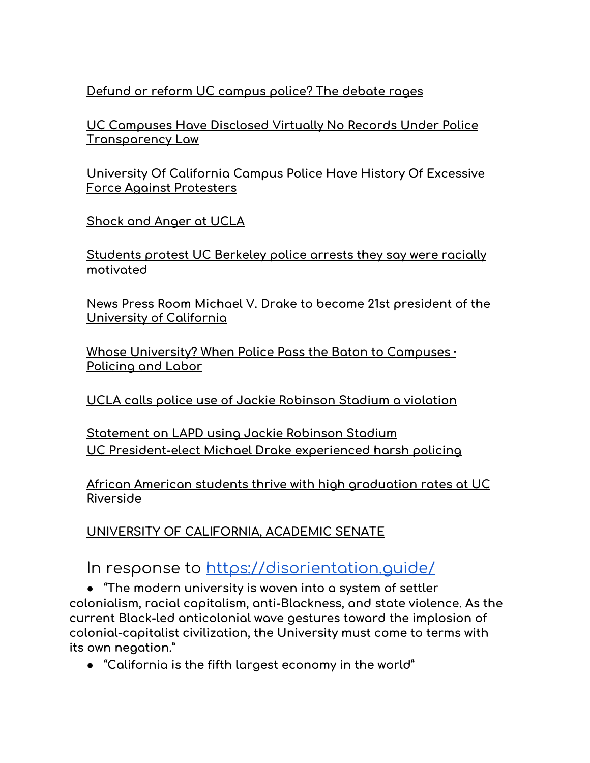**Defund or reform UC [campus](https://www.latimes.com/california/story/2021-02-03/defund-campus-police-or-reform-them-sharp-disagreement-surfaces-at-uc) police? The debate rages**

**UC [Campuses](https://www.voiceofsandiego.org/topics/public-safety/uc-campuses-have-disclosed-virtually-no-records-under-police-transparency-law/) Have Disclosed Virtually No Records Under Police [Transparency](https://www.voiceofsandiego.org/topics/public-safety/uc-campuses-have-disclosed-virtually-no-records-under-police-transparency-law/) Law**

**[University](https://www.huffpost.com/entry/california-campus-police-clash-with-protesters-ows_n_1125537) Of California Campus Police Have History Of Excessive Force Against [Protesters](https://www.huffpost.com/entry/california-campus-police-clash-with-protesters-ows_n_1125537)**

**[Shock](https://www.insidehighered.com/news/2006/11/17/shock-and-anger-ucla) and Anger at UCLA**

**[Students](https://www.sfchronicle.com/crime/article/Students-racially-profiled-brutalized-by-13701947.php) protest UC Berkeley police arrests they say were racially [motivated](https://www.sfchronicle.com/crime/article/Students-racially-profiled-brutalized-by-13701947.php)**

**News Press Room Michael V. Drake to become 21st [president](https://www.universityofcalifornia.edu/press-room/michael-v-drake-become-21st-president-university-california) of the [University](https://www.universityofcalifornia.edu/press-room/michael-v-drake-become-21st-president-university-california) of California**

**Whose [University?](https://saw.americananthro.org/pub/whose-university-when-police-pass-the-baton-to-campuses/release/1) When Police Pass the Baton to Campuses · [Policing](https://saw.americananthro.org/pub/whose-university-when-police-pass-the-baton-to-campuses/release/1) and Labor**

**UCLA calls police use of Jackie [Robinson](https://www.latimes.com/california/story/2020-06-04/ucla-chancellor-calls-lapd-use-of-jackie-robinson-stadium-to-process-arrests-a-violation) Stadium a violation**

**[Statement](https://newsroom.ucla.edu/releases/ucla-a-violation-of-our-values) on LAPD using Jackie Robinson Stadium UC [President-elect](https://www.latimes.com/california/story/2020-07-08/uc-president-elect-michael-v-drake-knows-firsthand-about-harsh-police-tactics) Michael Drake experienced harsh policing**

**African American students thrive with high [graduation](https://www.latimes.com/local/lanow/la-me-uc-riverside-black-students-20170623-htmlstory.html) rates at UC [Riverside](https://www.latimes.com/local/lanow/la-me-uc-riverside-black-students-20170623-htmlstory.html)**

**UNIVERSITY OF [CALIFORNIA,](https://senate.universityofcalifornia.edu/_files/reports/SNW-JN-gold-book-task-force-report.pdf) ACADEMIC SENATE**

In response to https://disorientation.quide/

**● "The modern university is woven into a system of settler colonialism, racial capitalism, anti-Blackness, and state violence. As the current Black-led anticolonial wave gestures toward the implosion of colonial-capitalist civilization, the University must come to terms with its own negation."**

**● "California is the fifth largest economy in the world"**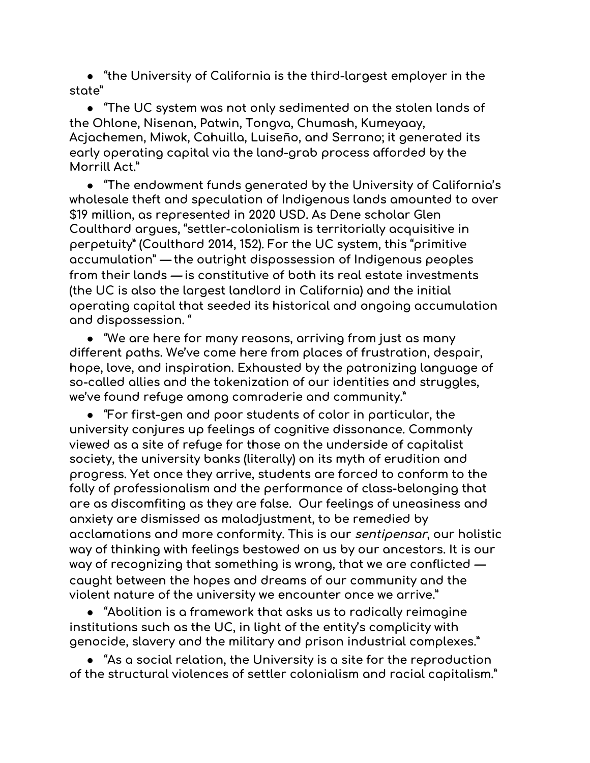**● "the University of California is the third-largest employer in the state"**

**● "The UC system was not only sedimented on the stolen lands of the Ohlone, Nisenan, Patwin, Tongva, Chumash, Kumeyaay, Acjachemen, Miwok, Cahuilla, Luiseño, and Serrano; it generated its early operating capital via the land-grab process afforded by the Morrill Act."**

**● "The endowment funds generated by the University of California's wholesale theft and speculation of Indigenous lands amounted to over \$19 million, as represented in 2020 USD. As Dene scholar Glen Coulthard argues, "settler-colonialism is territorially acquisitive in perpetuity" (Coulthard 2014, 152). For the UC system, this "primitive accumulation" — the outright dispossession of Indigenous peoples from their lands — is constitutive of both its real estate investments (the UC is also the largest landlord in California) and the initial operating capital that seeded its historical and ongoing accumulation and dispossession. "**

**● "We are here for many reasons, arriving from just as many different paths. We've come here from places of frustration, despair, hope, love, and inspiration. Exhausted by the patronizing language of so-called allies and the tokenization of our identities and struggles, we've found refuge among comraderie and community."**

**● "For first-gen and poor students of color in particular, the university conjures up feelings of cognitive dissonance. Commonly viewed as a site of refuge for those on the underside of capitalist society, the university banks (literally) on its myth of erudition and progress. Yet once they arrive, students are forced to conform to the folly of professionalism and the performance of class-belonging that are as discomfiting as they are false. Our feelings of uneasiness and anxiety are dismissed as maladjustment, to be remedied by acclamations and more conformity. This is our sentipensar, our holistic way of thinking with feelings bestowed on us by our ancestors. It is our way of recognizing that something is wrong, that we are conflicted caught between the hopes and dreams of our community and the violent nature of the university we encounter once we arrive."**

**● "Abolition is a framework that asks us to radically reimagine institutions such as the UC, in light of the entity's complicity with genocide, slavery and the military and prison industrial complexes."**

**● "As a social relation, the University is a site for the reproduction of the structural violences of settler colonialism and racial capitalism."**